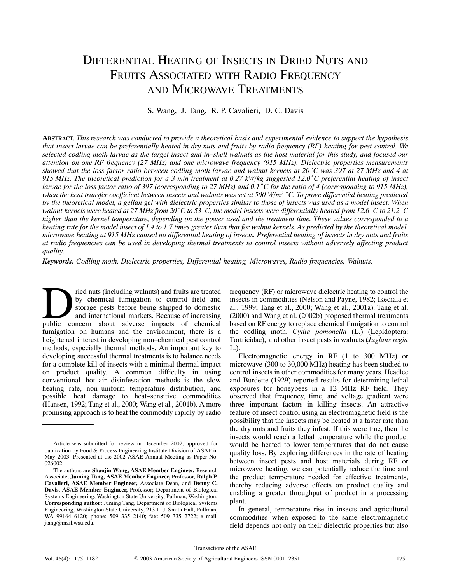# DIFFERENTIAL HEATING OF INSECTS IN DRIED NUTS AND FRUITS ASSOCIATED WITH RADIO FREQUENCY AND MICROWAVE TREATMENTS

S. Wang, J. Tang, R. P. Cavalieri, D. C. Davis

**ABSTRACT.** *This research was conducted to provide a theoretical basis and experimental evidence to support the hypothesis that insect larvae can be preferentially heated in dry nuts and fruits by radio frequency (RF) heating for pest control. We* selected codling moth larvae as the target insect and in–shell walnuts as the host material for this study, and focused our<br>attention on one RF frequency (27 MHz) and one microwave frequency (915 MHz). Dielectric propertie attention on one RF frequency (27 MHz) and one microwave frequency (915 MHz). Dielectric properties measurements<br>showed that the loss factor ratio between codling moth larvae and walnut kernels at 20°C was 397 at 27 MHz an *largenced* for the largenced (2) interpretation in the measurable properties (212 mm2). Decently properties measurements showed that the loss factor ratio between codling moth larvae and walnut kernels at 20<sup>°</sup>C was 397 a *where the heat transfer coefficient between county mont tartier and walnut herites at 200 °C preferential heating of insect any and 9.15 MHz. The theoretical prediction for a 3 min treatment at 0.27 kW/kg suggested 12.0 ° by the theoretical model, a gellan gel with dielectric properties similar to those of insects was used as a model insect. When when the heat transfer coefficient between insects and walnuts was set at 500 W/m<sup>2</sup> °C. To prove differential heating predicted higher than the kernel temperature, depending on the power used and the treatment time. These values corresponded to a heating rate for the model insect of 1.4 to 1.7 times greater than that for walnut kernels. As predicted by the theoretical model, microwave heating at 915 MHz caused no differential heating of insects. Preferential heating of insects in dry nuts and fruits at radio frequencies can be used in developing thermal treatments to control insects without adversely affecting product quality.*

*Keywords. Codling moth, Dielectric properties, Differential heating, Microwaves, Radio frequencies, Walnuts.*

ried nuts (including walnuts) and fruits are treated by chemical fumigation to control field and storage pests before being shipped to domestic and international markets. Because of increasing public concern about adverse impacts of chemical discoverse impacts of chemical public concern about adverse impacts of chemical fumigation on humans and the environment, there is a heightened interest in developing non–chemical pest control methods, especially thermal methods. An important key to developing successful thermal treatments is to balance needs for a complete kill of insects with a minimal thermal impact on product quality. A common difficulty in using conventional hot–air disinfestation methods is the slow heating rate, non–uniform temperature distribution, and possible heat damage to heat–sensitive commodities (Hansen, 1992; Tang et al., 2000; Wang et al., 2001b). A more promising approach is to heat the commodity rapidly by radio

frequency (RF) or microwave dielectric heating to control the insects in commodities (Nelson and Payne, 1982; Ikediala et al., 1999; Tang et al., 2000; Wang et al., 2001a). Tang et al. (2000) and Wang et al. (2002b) proposed thermal treatments based on RF energy to replace chemical fumigation to control the codling moth, *Cydia pomonella* (L.) (Lepidoptera: Tortricidae), and other insect pests in walnuts (*Juglans regia* L.).

Electromagnetic energy in RF (1 to 300 MHz) or microwave (300 to 30,000 MHz) heating has been studied to control insects in other commodities for many years. Headlee and Burdette (1929) reported results for determining lethal exposures for honeybees in a 12 MHz RF field. They observed that frequency, time, and voltage gradient were three important factors in killing insects. An attractive feature of insect control using an electromagnetic field is the possibility that the insects may be heated at a faster rate than the dry nuts and fruits they infest. If this were true, then the insects would reach a lethal temperature while the product would be heated to lower temperatures that do not cause quality loss. By exploring differences in the rate of heating between insect pests and host materials during RF or microwave heating, we can potentially reduce the time and the product temperature needed for effective treatments, thereby reducing adverse effects on product quality and enabling a greater throughput of product in a processing plant.

In general, temperature rise in insects and agricultural commodities when exposed to the same electromagnetic field depends not only on their dielectric properties but also

Transactions of the ASAE

Article was submitted for review in December 2002; approved for publication by Food & Process Engineering Institute Division of ASAE in May 2003. Presented at the 2002 ASAE Annual Meeting as Paper No. 026002.

The authors are **Shaojin Wang, ASAE Member Engineer,** Research Associate, **Juming Tang, ASAE Member Engineer,** Professor, **Ralph P. Cavalieri, ASAE Member Engineer,** Associate Dean, and **Denny C. Davis, ASAE Member Engineer,** Professor; Department of Biological Systems Engineering, Washington State University, Pullman, Washington. **Corresponding author:** Juming Tang, Department of Biological Systems Engineering, Washington State University, 213 L. J. Smith Hall, Pullman, WA 99164–6120; phone: 509–335–2140; fax: 509–335–2722; e–mail: jtang@mail.wsu.edu.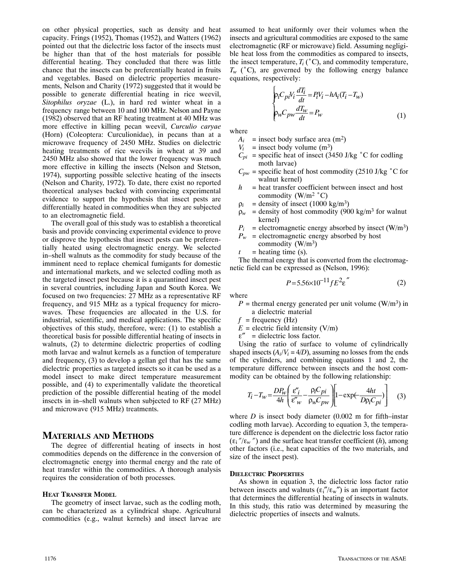on other physical properties, such as density and heat capacity. Frings (1952), Thomas (1952), and Watters (1962) pointed out that the dielectric loss factor of the insects must be higher than that of the host materials for possible differential heating. They concluded that there was little chance that the insects can be preferentially heated in fruits and vegetables. Based on dielectric properties measurements, Nelson and Charity (1972) suggested that it would be possible to generate differential heating in rice weevil, *Sitophilus oryzae* (L.), in hard red winter wheat in a frequency range between 10 and 100 MHz. Nelson and Payne (1982) observed that an RF heating treatment at 40 MHz was more effective in killing pecan weevil, *Curculio caryae* (Horn) (Coleoptera: Curculionidae), in pecans than at a microwave frequency of 2450 MHz. Studies on dielectric heating treatments of rice weevils in wheat at 39 and 2450 MHz also showed that the lower frequency was much more effective in killing the insects (Nelson and Stetson, 1974), supporting possible selective heating of the insects (Nelson and Charity, 1972). To date, there exist no reported theoretical analyses backed with convincing experimental evidence to support the hypothesis that insect pests are differentially heated in commodities when they are subjected to an electromagnetic field.

The overall goal of this study was to establish a theoretical basis and provide convincing experimental evidence to prove or disprove the hypothesis that insect pests can be preferentially heated using electromagnetic energy. We selected in–shell walnuts as the commodity for study because of the imminent need to replace chemical fumigants for domestic and international markets, and we selected codling moth as the targeted insect pest because it is a quarantined insect pest in several countries, including Japan and South Korea. We focused on two frequencies: 27 MHz as a representative RF frequency, and 915 MHz as a typical frequency for microwaves. These frequencies are allocated in the U.S. for industrial, scientific, and medical applications. The specific objectives of this study, therefore, were: (1) to establish a theoretical basis for possible differential heating of insects in walnuts, (2) to determine dielectric properties of codling moth larvae and walnut kernels as a function of temperature and frequency, (3) to develop a gellan gel that has the same dielectric properties as targeted insects so it can be used as a model insect to make direct temperature measurement possible, and (4) to experimentally validate the theoretical prediction of the possible differential heating of the model insects in in–shell walnuts when subjected to RF (27 MHz) and microwave (915 MHz) treatments.

# **MATERIALS AND METHODS**

The degree of differential heating of insects in host commodities depends on the difference in the conversion of electromagnetic energy into thermal energy and the rate of heat transfer within the commodities. A thorough analysis requires the consideration of both processes.

# **HEAT TRANSFER MODEL**

The geometry of insect larvae, such as the codling moth, can be characterized as a cylindrical shape. Agricultural commodities (e.g., walnut kernels) and insect larvae are assumed to heat uniformly over their volumes when the insects and agricultural commodities are exposed to the same electromagnetic (RF or microwave) field. Assuming negligible heat loss from the commodities as compared to insects, the insect temperature,  $T_i$  ( $^{\circ}$ C), and commodity temperature,  $T_w$  ( $^{\circ}$ C), are governed by the following energy balance equations, respectively:

$$
\begin{cases}\n\mathbf{p}_i C_{pi} V_i \frac{dT_i}{dt} = P_i V_i - h A_i (T_i - T_w) \\
\mathbf{p}_w C_{pw} \frac{dT_w}{dt} = P_w\n\end{cases}
$$
\n(1)

where

- $A_i$  = insect body surface area  $(m^2)$
- $V_i$  = insect body volume  $(m^3)$
- $C_{pi}$  = specific heat of insect (3450 J/kg °C for codling moth larvae)
- $C_{pw}$  = specific heat of host commodity (2510 J/kg  $\degree$ C for walnut kernel)
- $h$  = heat transfer coefficient between insect and host commodity  $(W/m^2 °C)$
- $\rho_i$  = density of insect (1000 kg/m<sup>3</sup>)
- $\rho_w$  = density of host commodity (900 kg/m<sup>3</sup> for walnut kernel)
- $P_i$  = electromagnetic energy absorbed by insect (W/m<sup>3</sup>)
- $P_w$  = electromagnetic energy absorbed by host
	- commodity  $(W/m^3)$
- $t =$  heating time (s).

The thermal energy that is converted from the electromagnetic field can be expressed as (Nelson, 1996):

$$
P = 5.56 \times 10^{-11} f E^2 \varepsilon^{''}
$$
 (2)

where

- $P =$  thermal energy generated per unit volume (W/m<sup>3</sup>) in a dielectric material
- $f$  = frequency (Hz)
- $E =$  electric field intensity (V/m)
- $\varepsilon''$  = dielectric loss factor.

Using the ratio of surface to volume of cylindrically shaped insects  $(A_i/V_i = 4/D)$ , assuming no losses from the ends of the cylinders, and combining equations 1 and 2, the temperature difference between insects and the host commodity can be obtained by the following relationship:

$$
T_i - T_w = \frac{DP_w}{4h} \left( \frac{\varepsilon_i''}{\varepsilon_w''} - \frac{\rho_i C_{pi}}{\rho_w C_{pw}} \right) \left[ 1 - \exp(-\frac{4ht}{D\rho_i C_{pi}}) \right] \tag{3}
$$

where *D* is insect body diameter (0.002 m for fifth–instar codling moth larvae). According to equation 3, the temperacounting moun rarvae). According to equation 5, the tempera-<br>ture difference is dependent on the dielectric loss factor ratio<br> $(\varepsilon_1''/\varepsilon_w'')$  and the surface heat transfer coefficient *(h)*, among other factors (i.e., heat capacities of the two materials, and size of the insect pest).

### **DIELECTRIC PROPERTIES**

As shown in equation 3, the dielectric loss factor ratio between insects and walnuts ( $\epsilon_i''/\epsilon_w''$ ) is an important factor that determines the differential heating of insects in walnuts. In this study, this ratio was determined by measuring the dielectric properties of insects and walnuts.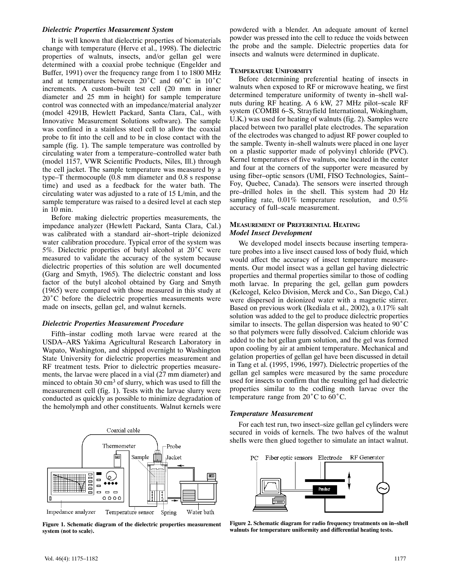# *Dielectric Properties Measurement System*

It is well known that dielectric properties of biomaterials change with temperature (Herve et al., 1998). The dielectric properties of walnuts, insects, and/or gellan gel were determined with a coaxial probe technique (Engelder and Buffer, 1991) over the frequency range from 1 to 1800 MHz and at temperatures between  $20^{\circ}$ C and  $60^{\circ}$ C in  $10^{\circ}$ C increments. A custom–built test cell (20 mm in inner diameter and 25 mm in height) for sample temperature control was connected with an impedance/material analyzer (model 4291B, Hewlett Packard, Santa Clara, Cal., with Innovative Measurement Solutions software). The sample was confined in a stainless steel cell to allow the coaxial probe to fit into the cell and to be in close contact with the sample (fig. 1). The sample temperature was controlled by circulating water from a temperature–controlled water bath (model 1157, VWR Scientific Products, Niles, Ill.) through the cell jacket. The sample temperature was measured by a type–T thermocouple (0.8 mm diameter and 0.8 s response time) and used as a feedback for the water bath. The circulating water was adjusted to a rate of 15 L/min, and the sample temperature was raised to a desired level at each step in 10 min.

Before making dielectric properties measurements, the impedance analyzer (Hewlett Packard, Santa Clara, Cal.) was calibrated with a standard air–short–triple deionized water calibration procedure. Typical error of the system was 5%. Dielectric properties of butyl alcohol at  $20^{\circ}$ C were measured to validate the accuracy of the system because dielectric properties of this solution are well documented (Garg and Smyth, 1965). The dielectric constant and loss factor of the butyl alcohol obtained by Garg and Smyth (1965) were compared with those measured in this study at  $20^{\circ}$ C before the dielectric properties measurements were made on insects, gellan gel, and walnut kernels.

# *Dielectric Properties Measurement Procedure*

Fifth–instar codling moth larvae were reared at the USDA–ARS Yakima Agricultural Research Laboratory in Wapato, Washington, and shipped overnight to Washington State University for dielectric properties measurement and RF treatment tests. Prior to dielectric properties measurements, the larvae were placed in a vial (27 mm diameter) and minced to obtain  $30 \text{ cm}^3$  of slurry, which was used to fill the measurement cell (fig. 1). Tests with the larvae slurry were conducted as quickly as possible to minimize degradation of the hemolymph and other constituents. Walnut kernels were



**Figure 1. Schematic diagram of the dielectric properties measurement system (not to scale).**

powdered with a blender. An adequate amount of kernel powder was pressed into the cell to reduce the voids between the probe and the sample. Dielectric properties data for insects and walnuts were determined in duplicate.

#### **TEMPERATURE UNIFORMITY**

Before determining preferential heating of insects in walnuts when exposed to RF or microwave heating, we first determined temperature uniformity of twenty in–shell walnuts during RF heating. A 6 kW, 27 MHz pilot–scale RF system (COMBI 6–S, Strayfield International, Wokingham, U.K.) was used for heating of walnuts (fig. 2). Samples were placed between two parallel plate electrodes. The separation of the electrodes was changed to adjust RF power coupled to the sample. Twenty in–shell walnuts were placed in one layer on a plastic supporter made of polyvinyl chloride (PVC). Kernel temperatures of five walnuts, one located in the center and four at the corners of the supporter were measured by using fiber–optic sensors (UMI, FISO Technologies, Saint– Foy, Quebec, Canada). The sensors were inserted through pre–drilled holes in the shell. This system had 20 Hz sampling rate, 0.01% temperature resolution, and 0.5% accuracy of full–scale measurement.

# **MEASUREMENT OF PREFERENTIAL HEATING** *Model Insect Development*

We developed model insects because inserting temperature probes into a live insect caused loss of body fluid, which would affect the accuracy of insect temperature measurements. Our model insect was a gellan gel having dielectric properties and thermal properties similar to those of codling moth larvae. In preparing the gel, gellan gum powders (Kelcogel, Kelco Division, Merck and Co., San Diego, Cal.) were dispersed in deionized water with a magnetic stirrer. Based on previous work (Ikediala et al., 2002), a 0.17% salt solution was added to the gel to produce dielectric properties similar to insects. The gellan dispersion was heated to  $90^{\circ}$ C so that polymers were fully dissolved. Calcium chloride was added to the hot gellan gum solution, and the gel was formed upon cooling by air at ambient temperature. Mechanical and gelation properties of gellan gel have been discussed in detail in Tang et al. (1995, 1996, 1997). Dielectric properties of the gellan gel samples were measured by the same procedure used for insects to confirm that the resulting gel had dielectric properties similar to the codling moth larvae over the temperature range from  $20^{\circ}$ C to  $60^{\circ}$ C.

# *Temperature Measurement*

For each test run, two insect–size gellan gel cylinders were secured in voids of kernels. The two halves of the walnut shells were then glued together to simulate an intact walnut.



**Figure 2. Schematic diagram for radio frequency treatments on in–shell walnuts for temperature uniformity and differential heating tests.**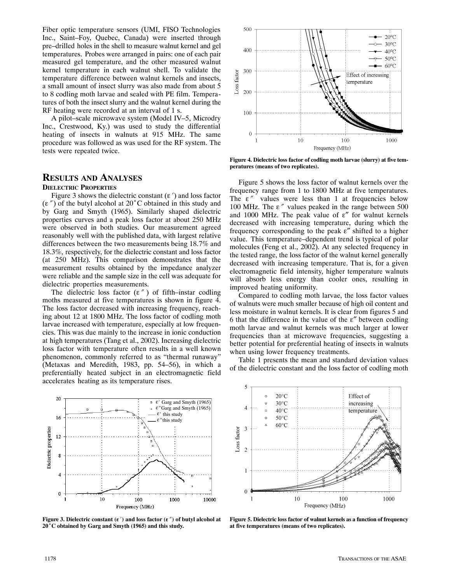Fiber optic temperature sensors (UMI, FISO Technologies Inc., Saint–Foy, Quebec, Canada) were inserted through pre–drilled holes in the shell to measure walnut kernel and gel temperatures. Probes were arranged in pairs: one of each pair measured gel temperature, and the other measured walnut kernel temperature in each walnut shell. To validate the temperature difference between walnut kernels and insects, a small amount of insect slurry was also made from about 5 to 8 codling moth larvae and sealed with PE film. Temperatures of both the insect slurry and the walnut kernel during the RF heating were recorded at an interval of 1 s.

A pilot–scale microwave system (Model IV–5, Microdry Inc., Crestwood, Ky.) was used to study the differential heating of insects in walnuts at 915 MHz. The same procedure was followed as was used for the RF system. The tests were repeated twice.

# **RESULTS AND ANALYSES DIELECTRIC PROPERTIES**

ELECTRIC PROPERTIES<br>Figure 3 shows the dielectric constant ( $\varepsilon$ ) and loss factor  $(\epsilon'')$  of the butyl alcohol at 20<sup>°</sup>C obtained in this study and by Garg and Smyth (1965). Similarly shaped dielectric properties curves and a peak loss factor at about 250 MHz were observed in both studies. Our measurement agreed reasonably well with the published data, with largest relative differences between the two measurements being 18.7% and 18.3%, respectively, for the dielectric constant and loss factor (at 250 MHz). This comparison demonstrates that the measurement results obtained by the impedance analyzer were reliable and the sample size in the cell was adequate for dielectric properties measurements.

The dielectric loss factor ( $\varepsilon$ ") of fifth–instar codling moths measured at five temperatures is shown in figure 4. The loss factor decreased with increasing frequency, reaching about 12 at 1800 MHz. The loss factor of codling moth larvae increased with temperature, especially at low frequencies. This was due mainly to the increase in ionic conduction at high temperatures (Tang et al., 2002). Increasing dielectric loss factor with temperature often results in a well known phenomenon, commonly referred to as "thermal runaway" (Metaxas and Meredith, 1983, pp. 54–56), in which a preferentially heated subject in an electromagnetic field accelerates heating as its temperature rises.



**20C obtained by Garg and Smyth (1965) and this study.**



**Figure 4. Dielectric loss factor of codling moth larvae (slurry) at five temperatures (means of two replicates).**

Figure 5 shows the loss factor of walnut kernels over the Figure 3 shows the loss factor of wannum kernels over the frequency range from 1 to 1800 MHz at five temperatures.<br>The  $\varepsilon$   $\prime\prime$  values were less than 1 at frequencies below The  $\varepsilon$ " values were less than 1 at frequencies below 100 MHz. The  $\varepsilon$ " values peaked in the range between 500 and 1000 MHz. The peak value of  $\varepsilon$ " for walnut kernels decreased with increasing temperature, during which the frequency corresponding to the peak  $\varepsilon''$  shifted to a higher value. This temperature–dependent trend is typical of polar molecules (Feng et al., 2002). At any selected frequency in the tested range, the loss factor of the walnut kernel generally decreased with increasing temperature. That is, for a given electromagnetic field intensity, higher temperature walnuts will absorb less energy than cooler ones, resulting in improved heating uniformity.

Compared to codling moth larvae, the loss factor values of walnuts were much smaller because of high oil content and less moisture in walnut kernels. It is clear from figures 5 and 6 that the difference in the value of the  $\varepsilon$ " between codling moth larvae and walnut kernels was much larger at lower frequencies than at microwave frequencies, suggesting a better potential for preferential heating of insects in walnuts when using lower frequency treatments.

Table 1 presents the mean and standard deviation values of the dielectric constant and the loss factor of codling moth



**Figure 5. Dielectric loss factor of walnut kernels as a function of frequency at five temperatures (means of two replicates).**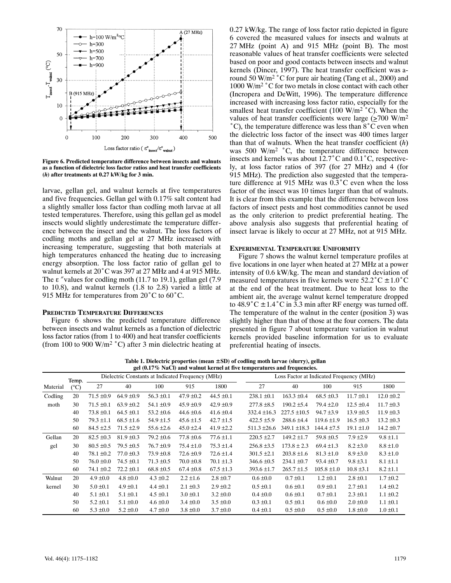

**Figure 6. Predicted temperature difference between insects and walnuts as a function of dielectric loss factor ratios and heat transfer coefficients (***h***) after treatments at 0.27 kW/kg for 3 min.**

larvae, gellan gel, and walnut kernels at five temperatures and five frequencies. Gellan gel with 0.17% salt content had a slightly smaller loss factor than codling moth larvae at all tested temperatures. Therefore, using this gellan gel as model insects would slightly underestimate the temperature difference between the insect and the walnut. The loss factors of codling moths and gellan gel at 27 MHz increased with increasing temperature, suggesting that both materials at high temperatures enhanced the heating due to increasing energy absorption. The loss factor ratio of gellan gel to energy absorption. The foss factor failt of genan ger to<br>walnut kernels at 20°C was 397 at 27 MHz and 4 at 915 MHz.<br>The  $\varepsilon$  "values for codling moth (11.7 to 19.1), gellan gel (7.9 to 10.8), and walnut kernels (1.8 to 2.8) varied a little at 915 MHz for temperatures from  $20^{\circ}$ C to  $60^{\circ}$ C.

# **PREDICTED TEMPERATURE DIFFERENCES**

Figure 6 shows the predicted temperature difference between insects and walnut kernels as a function of dielectric loss factor ratios (from 1 to 400) and heat transfer coefficients (from 100 to 900 W/m<sup>2</sup> °C) after 3 min dielectric heating at 0.27 kW/kg. The range of loss factor ratio depicted in figure 6 covered the measured values for insects and walnuts at 27 MHz (point A) and 915 MHz (point B). The most reasonable values of heat transfer coefficients were selected based on poor and good contacts between insects and walnut kernels (Dincer, 1997). The heat transfer coefficient was around 50 W/m<sup>2</sup> °C for pure air heating (Tang et al., 2000) and 1000 W/m<sup>2</sup> °C for two metals in close contact with each other (Incropera and DeWitt, 1996). The temperature difference increased with increasing loss factor ratio, especially for the smallest heat transfer coefficient (100 W/m<sup>2 $\degree$ </sup>C). When the values of heat transfer coefficients were large  $(\geq 700 \text{ W/m}^2)$  $^{\circ}$ C), the temperature difference was less than  $8^{\circ}$ C even when the dielectric loss factor of the insect was 400 times larger than that of walnuts. When the heat transfer coefficient (*h*) was 500 W/m<sup>2</sup> °C, the temperature difference between insects and kernels was about  $12.7^{\circ}$ C and  $0.1^{\circ}$ C, respectively, at loss factor ratios of 397 (for 27 MHz) and 4 (for 915 MHz). The prediction also suggested that the temperature difference at 915 MHz was  $0.3^{\circ}$ C even when the loss factor of the insect was 10 times larger than that of walnuts. It is clear from this example that the difference between loss factors of insect pests and host commodities cannot be used as the only criterion to predict preferential heating. The above analysis also suggests that preferential heating of insect larvae is likely to occur at 27 MHz, not at 915 MHz.

#### **EXPERIMENTAL TEMPERATURE UNIFORMITY**

Figure 7 shows the walnut kernel temperature profiles at five locations in one layer when heated at 27 MHz at a power intensity of 0.6 kW/kg. The mean and standard deviation of measured temperatures in five kernels were  $52.2^{\circ}$ C  $\pm 1.0^{\circ}$ C at the end of the heat treatment. Due to heat loss to the ambient air, the average walnut kernel temperature dropped to  $48.9^{\circ}$ C  $\pm$  1.4 °C in 3.3 min after RF energy was turned off. The temperature of the walnut in the center (position 3) was slightly higher than that of those at the four corners. The data presented in figure 7 about temperature variation in walnut kernels provided baseline information for us to evaluate preferential heating of insects.

Table 1. Dielectric properties (mean  $\pm$ SD) of codling moth larvae (slurry), gellan **gel (0.17% NaCl) and walnut kernel at five temperatures and frequencies.**

|          | ger (0.17 % inacti) and wantut kerner at live temperatures and requencies. |                |                |                                                   |                |                |                                          |                  |                 |                |                |  |  |
|----------|----------------------------------------------------------------------------|----------------|----------------|---------------------------------------------------|----------------|----------------|------------------------------------------|------------------|-----------------|----------------|----------------|--|--|
|          | Temp.                                                                      |                |                | Dielectric Constants at Indicated Frequency (MHz) |                |                | Loss Factor at Indicated Frequency (MHz) |                  |                 |                |                |  |  |
| Material | $(^{\circ}C)$                                                              | 27             | 40             | 100                                               | 915            | 1800           | 27                                       | 40               | 100             | 915            | 1800           |  |  |
| Codling  | 20                                                                         | $71.5 \pm 0.9$ | $64.9 \pm 0.9$ | $56.3 \pm 0.1$                                    | 47.9 $\pm$ 0.2 | $44.5 \pm 0.1$ | $238.1 \pm 0.1$                          | $163.3 \pm 0.4$  | $68.5 \pm 0.3$  | $11.7 \pm 0.1$ | $12.0 \pm 0.2$ |  |  |
| moth     | 30                                                                         | $71.5 \pm 0.1$ | $63.9 \pm 0.2$ | $54.1 \pm 0.9$                                    | $45.9 \pm 0.9$ | $42.9 \pm 0.9$ | $277.8 \pm 8.5$                          | $190.2 \pm 5.4$  | $79.4 \pm 2.0$  | $12.5 \pm 0.4$ | $11.7 \pm 0.3$ |  |  |
|          | 40                                                                         | $73.8 \pm 0.1$ | $64.5 \pm 0.1$ | $53.2 \pm 0.6$                                    | $44.6 \pm 0.6$ | $41.6 \pm 0.4$ | $332.4 \pm 16.3$                         | $227.5 \pm 10.5$ | $94.7 \pm 3.9$  | $13.9 \pm 0.5$ | $11.9 \pm 0.3$ |  |  |
|          | 50                                                                         | $79.3 \pm 1.1$ | $68.5 \pm 1.6$ | $54.9 \pm 1.5$                                    | $45.6 \pm 1.5$ | $42.7 \pm 1.5$ | $422.5 \pm 5.9$                          | $288.6 \pm 4.4$  | $119.6 \pm 1.9$ | $16.5 \pm 0.3$ | $13.2 \pm 0.3$ |  |  |
|          | 60                                                                         | $84.5 \pm 2.5$ | $71.5 \pm 2.9$ | $55.6 \pm 2.6$                                    | $45.0 \pm 2.4$ | 41.9 $\pm$ 2.2 | $511.3 \pm 26.6$                         | $349.1 \pm 18.3$ | $144.4 \pm 7.5$ | $19.1 \pm 1.0$ | $14.2 \pm 0.7$ |  |  |
| Gellan   | 20                                                                         | $82.5 \pm 0.3$ | $81.9 \pm 0.3$ | $79.2 \pm 0.6$                                    | $77.8 \pm 0.6$ | $77.6 \pm 1.1$ | $220.5 \pm 2.7$                          | $149.2 \pm 1.7$  | 59.8 $\pm$ 0.5  | $7.9 \pm 2.9$  | $9.8 \pm 1.1$  |  |  |
| gel      | 30                                                                         | $80.5 \pm 0.5$ | $79.5 \pm 0.5$ | $76.7 \pm 0.9$                                    | $75.4 \pm 1.0$ | $75.3 \pm 1.4$ | $256.8 \pm 3.5$                          | $173.8 \pm 2.3$  | 69.4 $\pm$ 1.3  | $8.2 \pm 3.0$  | $8.8 \pm 1.0$  |  |  |
|          | 40                                                                         | 78.1 ±0.2      | $77.0 \pm 0.3$ | $73.9 \pm 0.8$                                    | $72.6 \pm 0.9$ | $72.6 \pm 1.4$ | $301.5 \pm 2.1$                          | $203.8 \pm 1.6$  | $81.3 \pm 1.0$  | $8.9 \pm 3.0$  | $8.3 \pm 1.0$  |  |  |
|          | 50                                                                         | $76.0 \pm 0.0$ | $74.5 \pm 0.1$ | $71.3 \pm 0.5$                                    | $70.0 \pm 0.8$ | $70.1 \pm 1.3$ | $346.6 \pm 0.5$                          | $234.1 \pm 0.7$  | $93.4 \pm 0.7$  | $9.8 \pm 3.1$  | $8.1 \pm 1.1$  |  |  |
|          | 60                                                                         | 74.1 $\pm 0.2$ | $72.2 \pm 0.1$ | $68.8 \pm 0.5$                                    | $67.4 \pm 0.8$ | $67.5 \pm 1.3$ | $393.6 \pm 1.7$                          | $265.7 \pm 1.5$  | $105.8 \pm 1.0$ | $10.8 \pm 3.1$ | $8.2 \pm 1.1$  |  |  |
| Walnut   | 20                                                                         | $4.9 \pm 0.0$  | $4.8 \pm 0.0$  | $4.3 \pm 0.2$                                     | $2.2 \pm 1.6$  | $2.8 \pm 0.7$  | $0.6 \pm 0.0$                            | $0.7 \pm 0.1$    | $1.2 \pm 0.1$   | $2.8 \pm 0.1$  | $1.7 \pm 0.2$  |  |  |
| kernel   | 30                                                                         | $5.0 \pm 0.1$  | $4.9 \pm 0.1$  | $4.4 \pm 0.1$                                     | $2.1 \pm 0.3$  | $2.9 \pm 0.2$  | $0.5 \pm 0.1$                            | $0.6 \pm 0.1$    | $0.9 \pm 0.1$   | $2.7 \pm 0.1$  | $1.4 \pm 0.2$  |  |  |
|          | 40                                                                         | $5.1 \pm 0.1$  | $5.1 \pm 0.1$  | $4.5 \pm 0.1$                                     | $3.0 \pm 0.1$  | $3.2 \pm 0.0$  | $0.4 \pm 0.0$                            | $0.6 \pm 0.1$    | $0.7 \pm 0.1$   | $2.3 \pm 0.1$  | $1.1 \pm 0.2$  |  |  |
|          | 50                                                                         | $5.2 \pm 0.1$  | $5.1 \pm 0.0$  | $4.6 \pm 0.0$                                     | $3.4 \pm 0.0$  | $3.5 \pm 0.0$  | $0.3 \pm 0.1$                            | $0.5 \pm 0.1$    | $0.6 \pm 0.0$   | $2.0 \pm 0.0$  | $1.1 \pm 0.1$  |  |  |
|          | 60                                                                         | $5.3 \pm 0.0$  | $5.2 \pm 0.0$  | $4.7 \pm 0.0$                                     | $3.8 \pm 0.0$  | $3.7 \pm 0.0$  | $0.4 \pm 0.1$                            | $0.5 \pm 0.0$    | $0.5 \pm 0.0$   | $1.8 \pm 0.0$  | $1.0 \pm 0.1$  |  |  |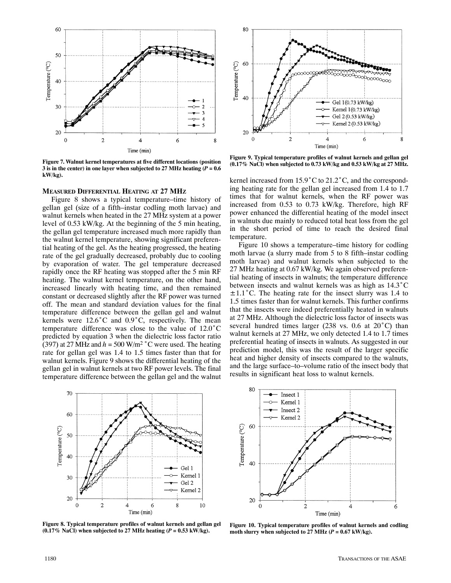

**Figure 7. Walnut kernel temperatures at five different locations (position 3** is in the center) in one layer when subjected to 27 MHz heating  $(P = 0.6$ **kW/kg).**

#### **MEASURED DIFFERENTIAL HEATING AT 27 MHZ**

Figure 8 shows a typical temperature–time history of gellan gel (size of a fifth–instar codling moth larvae) and walnut kernels when heated in the 27 MHz system at a power level of 0.53 kW/kg. At the beginning of the 5 min heating, the gellan gel temperature increased much more rapidly than the walnut kernel temperature, showing significant preferential heating of the gel. As the heating progressed, the heating rate of the gel gradually decreased, probably due to cooling by evaporation of water. The gel temperature decreased rapidly once the RF heating was stopped after the 5 min RF heating. The walnut kernel temperature, on the other hand, increased linearly with heating time, and then remained constant or decreased slightly after the RF power was turned off. The mean and standard deviation values for the final temperature difference between the gellan gel and walnut kernels were  $12.6^{\circ}$ C and  $0.9^{\circ}$ C, respectively. The mean temperature difference was close to the value of  $12.0^{\circ}$ C predicted by equation 3 when the dielectric loss factor ratio (397) at 27 MHz and  $h = 500$  W/m<sup>2</sup> °C were used. The heating rate for gellan gel was 1.4 to 1.5 times faster than that for walnut kernels. Figure 9 shows the differential heating of the gellan gel in walnut kernels at two RF power levels. The final temperature difference between the gellan gel and the walnut



**Figure 8. Typical temperature profiles of walnut kernels and gellan gel**  $(0.17\%$  NaCl) when subjected to 27 MHz heating  $(P = 0.53 \text{ kW/kg})$ .



**Figure 9. Typical temperature profiles of walnut kernels and gellan gel (0.17% NaCl) when subjected to 0.73 kW/kg and 0.53 kW/kg at 27 MHz.**

kernel increased from  $15.9^{\circ}$ C to  $21.2^{\circ}$ C, and the corresponding heating rate for the gellan gel increased from 1.4 to 1.7 times that for walnut kernels, when the RF power was increased from 0.53 to 0.73 kW/kg. Therefore, high RF power enhanced the differential heating of the model insect in walnuts due mainly to reduced total heat loss from the gel in the short period of time to reach the desired final temperature.

Figure 10 shows a temperature–time history for codling moth larvae (a slurry made from 5 to 8 fifth–instar codling moth larvae) and walnut kernels when subjected to the 27 MHz heating at 0.67 kW/kg. We again observed preferential heating of insects in walnuts; the temperature difference between insects and walnut kernels was as high as  $14.3^{\circ}$ C  $\pm 1.1^{\circ}$ C. The heating rate for the insect slurry was 1.4 to 1.5 times faster than for walnut kernels. This further confirms that the insects were indeed preferentially heated in walnuts at 27 MHz. Although the dielectric loss factor of insects was several hundred times larger (238 vs. 0.6 at  $20^{\circ}$ C) than walnut kernels at 27 MHz, we only detected 1.4 to 1.7 times preferential heating of insects in walnuts. As suggested in our prediction model, this was the result of the larger specific heat and higher density of insects compared to the walnuts, and the large surface–to–volume ratio of the insect body that results in significant heat loss to walnut kernels.



**Figure 10. Typical temperature profiles of walnut kernels and codling** moth slurry when subjected to 27 MHz  $(P = 0.67 \text{ kW/kg})$ .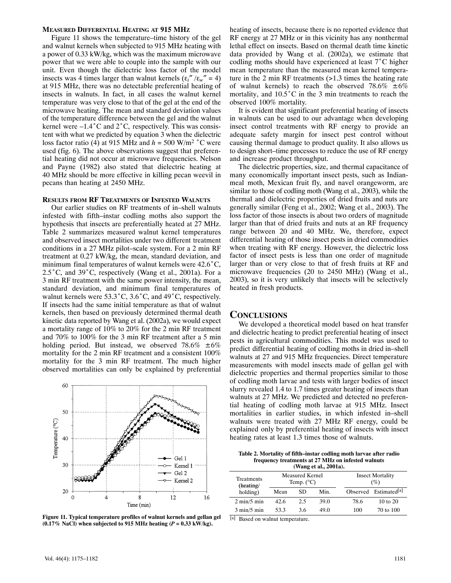# **MEASURED DIFFERENTIAL HEATING AT 915 MHZ**

Figure 11 shows the temperature–time history of the gel and walnut kernels when subjected to 915 MHz heating with a power of 0.33 kW/kg, which was the maximum microwave power that we were able to couple into the sample with our unit. Even though the dielectric loss factor of the model insects was 4 times larger than walnut kernels  $(\epsilon_i'' / \epsilon_w'' = 4)$ at 915 MHz, there was no detectable preferential heating of insects in walnuts. In fact, in all cases the walnut kernel temperature was very close to that of the gel at the end of the microwave heating. The mean and standard deviation values of the temperature difference between the gel and the walnut kernel were  $-1.4^{\circ}$ C and  $2^{\circ}$ C, respectively. This was consistent with what we predicted by equation 3 when the dielectric loss factor ratio (4) at 915 MHz and  $h = 500$  W/m<sup>2</sup> °C were used (fig. 6). The above observations suggest that preferential heating did not occur at microwave frequencies. Nelson and Payne (1982) also stated that dielectric heating at 40 MHz should be more effective in killing pecan weevil in pecans than heating at 2450 MHz.

### **RESULTS FROM RF TREATMENTS OF INFESTED WALNUTS**

Our earlier studies on RF treatments of in–shell walnuts infested with fifth–instar codling moths also support the hypothesis that insects are preferentially heated at 27 MHz. Table 2 summarizes measured walnut kernel temperatures and observed insect mortalities under two different treatment conditions in a 27 MHz pilot–scale system. For a 2 min RF treatment at 0.27 kW/kg, the mean, standard deviation, and minimum final temperatures of walnut kernels were  $42.6^{\circ}$ C,  $2.5^{\circ}$ C, and  $39^{\circ}$ C, respectively (Wang et al., 2001a). For a 3 min RF treatment with the same power intensity, the mean, standard deviation, and minimum final temperatures of walnut kernels were  $53.3^{\circ}$ C,  $3.6^{\circ}$ C, and  $49^{\circ}$ C, respectively. If insects had the same initial temperature as that of walnut kernels, then based on previously determined thermal death kinetic data reported by Wang et al. (2002a), we would expect a mortality range of 10% to 20% for the 2 min RF treatment and 70% to 100% for the 3 min RF treatment after a 5 min holding period. But instead, we observed  $78.6\% \pm 6\%$ mortality for the 2 min RF treatment and a consistent 100% mortality for the 3 min RF treatment. The much higher observed mortalities can only be explained by preferential



**Figure 11. Typical temperature profiles of walnut kernels and gellan gel**  $(0.17\%$  NaCl) when subjected to 915 MHz heating  $(P = 0.33$  kW/kg).

heating of insects, because there is no reported evidence that RF energy at 27 MHz or in this vicinity has any nonthermal lethal effect on insects. Based on thermal death time kinetic data provided by Wang et al. (2002a), we estimate that codling moths should have experienced at least  $7^{\circ}$ C higher mean temperature than the measured mean kernel temperature in the 2 min RF treatments (>1.3 times the heating rate of walnut kernels) to reach the observed 78.6%  $\pm 6\%$ mortality, and  $10.5^{\circ}$ C in the 3 min treatments to reach the observed 100% mortality.

It is evident that significant preferential heating of insects in walnuts can be used to our advantage when developing insect control treatments with RF energy to provide an adequate safety margin for insect pest control without causing thermal damage to product quality. It also allows us to design short–time processes to reduce the use of RF energy and increase product throughput.

The dielectric properties, size, and thermal capacitance of many economically important insect pests, such as Indianmeal moth, Mexican fruit fly, and navel orangeworm, are similar to those of codling moth (Wang et al., 2003), while the thermal and dielectric properties of dried fruits and nuts are generally similar (Feng et al., 2002; Wang et al., 2003). The loss factor of those insects is about two orders of magnitude larger than that of dried fruits and nuts at an RF frequency range between 20 and 40 MHz. We, therefore, expect differential heating of those insect pests in dried commodities when treating with RF energy. However, the dielectric loss factor of insect pests is less than one order of magnitude larger than or very close to that of fresh fruits at RF and microwave frequencies (20 to 2450 MHz) (Wang et al., 2003), so it is very unlikely that insects will be selectively heated in fresh products.

# **CONCLUSIONS**

We developed a theoretical model based on heat transfer and dielectric heating to predict preferential heating of insect pests in agricultural commodities. This model was used to predict differential heating of codling moths in dried in–shell walnuts at 27 and 915 MHz frequencies. Direct temperature measurements with model insects made of gellan gel with dielectric properties and thermal properties similar to those of codling moth larvae and tests with larger bodies of insect slurry revealed 1.4 to 1.7 times greater heating of insects than walnuts at 27 MHz. We predicted and detected no preferential heating of codling moth larvae at 915 MHz. Insect mortalities in earlier studies, in which infested in–shell walnuts were treated with 27 MHz RF energy, could be explained only by preferential heating of insects with insect heating rates at least 1.3 times those of walnuts.

**Table 2. Mortality of fifth–instar codling moth larvae after radio frequency treatments at 27 MHz on infested walnuts (Wang et al., 2001a).**

| Treatments<br>(heating/       |      | Measured Kernel<br>Temp. $(^{\circ}C)$ |      | <b>Insect Mortality</b><br>(%) |                                   |  |
|-------------------------------|------|----------------------------------------|------|--------------------------------|-----------------------------------|--|
| holding)                      | Mean | Min.<br>SD.                            |      |                                | Observed Estimated <sup>[a]</sup> |  |
| $2 \text{ min}/5 \text{ min}$ | 42.6 | 2.5                                    | 39.0 | 78.6                           | $10 \text{ to } 20$               |  |
| $3 \text{ min}/5 \text{ min}$ | 53.3 | 3.6                                    | 49.0 | 100                            | 70 to 100                         |  |

[a] Based on walnut temperature.